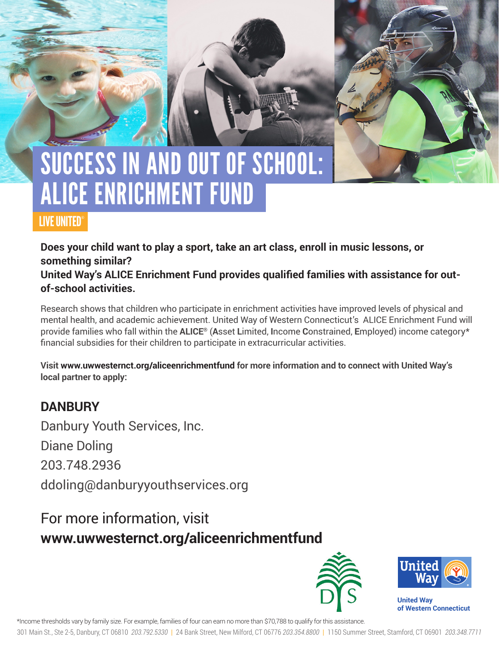# SUCCESS IN AND OUT OF SCHOOL: ALICE ENRICHMENT FUND

### LIVE UNITED®

**Does your child want to play a sport, take an art class, enroll in music lessons, or something similar?** 

**United Way's ALICE Enrichment Fund provides qualified families with assistance for outof-school activities.** 

Research shows that children who participate in enrichment activities have improved levels of physical and mental health, and academic achievement. United Way of Western Connecticut's ALICE Enrichment Fund will provide families who fall within the **ALICE®** (**A**sset **L**imited, **I**ncome **C**onstrained, **E**mployed) income category\* financial subsidies for their children to participate in extracurricular activities.

**Visit www.uwwesternct.org/aliceenrichmentfund for more information and to connect with United Way's local partner to apply:**

### **DANBURY**

Danbury Youth Services, Inc.

Diane Doling

203.748.2936

ddoling@danburyyouthservices.org

## For more information, visit **www.uwwesternct.org/aliceenrichmentfund**





**United Way of Western Connecticut** 

\*Income thresholds vary by family size. For example, families of four can earn no more than \$70,788 to qualify for this assistance.

301 Main St., Ste 2-5, Danbury, CT 06810 *203.792.5330* | 24 Bank Street, New Milford, CT 06776 *203.354.8800* | 1150 Summer Street, Stamford, CT 06901 *203.348.7711*